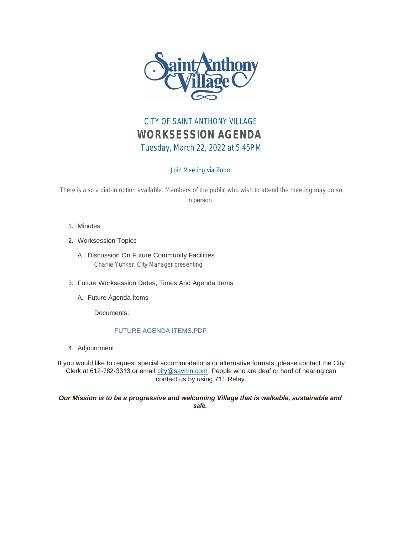

## CITY OF SAINT ANTHONY VILLAGE *WORKSESSION AGENDA* Tuesday, March 22, 2022 at 5:45PM

## [Join Meeting via Zoom](https://savmn.com/Calendar.aspx?EID=1645)

There is also a dial-in option available. Members of the public who wish to attend the meeting may do so in person.

- 1. Minutes
- Worksession Topics 2.
	- A. Discussion On Future Community Facilities Charlie Yunker, City Manager presenting
- Future Worksession Dates, Times And Agenda Items 3.
	- A. Future Agenda Items

Documents:

## FUTURE AGENDA ITEMS.PDF

Adjournment 4.

If you would like to request special accommodations or alternative formats, please contact the City Clerk at 612-782-3313 or email [city@savmn.com](mailto:city@savmn.com). People who are deaf or hard of hearing can contact us by using 711 Relay.

## *Our Mission is to be a progressive and welcoming Village that is walkable, sustainable and safe.*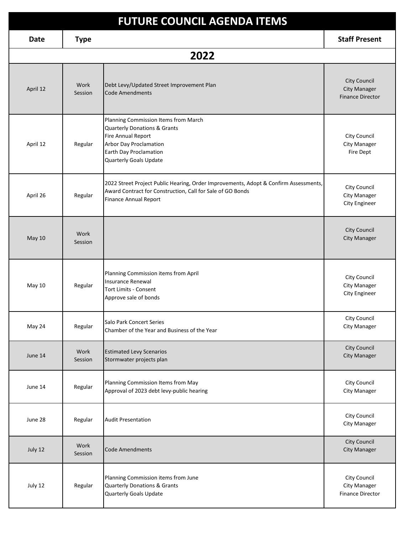| <b>FUTURE COUNCIL AGENDA ITEMS</b> |                 |                                                                                                                                                                                            |                                                                       |  |  |  |
|------------------------------------|-----------------|--------------------------------------------------------------------------------------------------------------------------------------------------------------------------------------------|-----------------------------------------------------------------------|--|--|--|
| <b>Date</b>                        | <b>Type</b>     |                                                                                                                                                                                            | <b>Staff Present</b>                                                  |  |  |  |
| 2022                               |                 |                                                                                                                                                                                            |                                                                       |  |  |  |
| April 12                           | Work<br>Session | Debt Levy/Updated Street Improvement Plan<br><b>Code Amendments</b>                                                                                                                        | <b>City Council</b><br><b>City Manager</b><br><b>Finance Director</b> |  |  |  |
| April 12                           | Regular         | Planning Commission Items from March<br><b>Quarterly Donations &amp; Grants</b><br>Fire Annual Report<br>Arbor Day Proclamation<br>Earth Day Proclamation<br><b>Quarterly Goals Update</b> | City Council<br><b>City Manager</b><br>Fire Dept                      |  |  |  |
| April 26                           | Regular         | 2022 Street Project Public Hearing, Order Improvements, Adopt & Confirm Assessments,<br>Award Contract for Construction, Call for Sale of GO Bonds<br><b>Finance Annual Report</b>         | City Council<br><b>City Manager</b><br>City Engineer                  |  |  |  |
| May 10                             | Work<br>Session |                                                                                                                                                                                            | City Council<br><b>City Manager</b>                                   |  |  |  |
| May 10                             | Regular         | Planning Commission items from April<br><b>Insurance Renewal</b><br><b>Tort Limits - Consent</b><br>Approve sale of bonds                                                                  | City Council<br>City Manager<br>City Engineer                         |  |  |  |
| May 24                             | Regular         | Salo Park Concert Series<br>Chamber of the Year and Business of the Year                                                                                                                   | City Council<br><b>City Manager</b>                                   |  |  |  |
| June 14                            | Work<br>Session | <b>Estimated Levy Scenarios</b><br>Stormwater projects plan                                                                                                                                | City Council<br><b>City Manager</b>                                   |  |  |  |
| June 14                            | Regular         | Planning Commission Items from May<br>Approval of 2023 debt levy-public hearing                                                                                                            | City Council<br>City Manager                                          |  |  |  |
| June 28                            | Regular         | <b>Audit Presentation</b>                                                                                                                                                                  | City Council<br>City Manager                                          |  |  |  |
| July 12                            | Work<br>Session | <b>Code Amendments</b>                                                                                                                                                                     | City Council<br><b>City Manager</b>                                   |  |  |  |
| July 12                            | Regular         | Planning Commission items from June<br><b>Quarterly Donations &amp; Grants</b><br>Quarterly Goals Update                                                                                   | City Council<br><b>City Manager</b><br><b>Finance Director</b>        |  |  |  |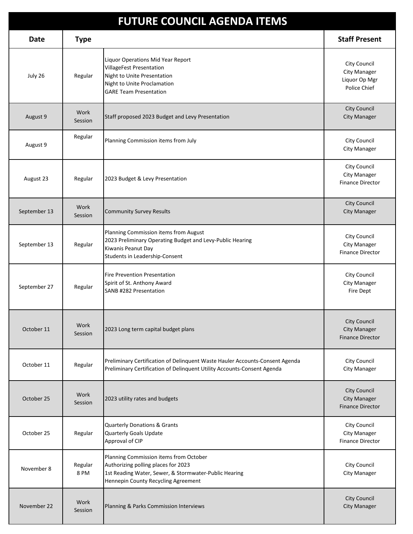| <b>FUTURE COUNCIL AGENDA ITEMS</b> |                 |                                                                                                                                                                               |                                                                       |  |  |
|------------------------------------|-----------------|-------------------------------------------------------------------------------------------------------------------------------------------------------------------------------|-----------------------------------------------------------------------|--|--|
| <b>Date</b>                        | <b>Type</b>     |                                                                                                                                                                               | <b>Staff Present</b>                                                  |  |  |
| July 26                            | Regular         | Liquor Operations Mid Year Report<br><b>VillageFest Presentation</b><br>Night to Unite Presentation<br>Night to Unite Proclamation<br><b>GARE Team Presentation</b>           | City Council<br>City Manager<br>Liquor Op Mgr<br>Police Chief         |  |  |
| August 9                           | Work<br>Session | Staff proposed 2023 Budget and Levy Presentation                                                                                                                              | City Council<br><b>City Manager</b>                                   |  |  |
| August 9                           | Regular         | Planning Commission items from July                                                                                                                                           | City Council<br><b>City Manager</b>                                   |  |  |
| August 23                          | Regular         | 2023 Budget & Levy Presentation                                                                                                                                               | City Council<br><b>City Manager</b><br><b>Finance Director</b>        |  |  |
| September 13                       | Work<br>Session | <b>Community Survey Results</b>                                                                                                                                               | <b>City Council</b><br><b>City Manager</b>                            |  |  |
| September 13                       | Regular         | Planning Commission items from August<br>2023 Preliminary Operating Budget and Levy-Public Hearing<br>Kiwanis Peanut Day<br>Students in Leadership-Consent                    | City Council<br>City Manager<br><b>Finance Director</b>               |  |  |
| September 27                       | Regular         | <b>Fire Prevention Presentation</b><br>Spirit of St. Anthony Award<br>SANB #282 Presentation                                                                                  | City Council<br>City Manager<br>Fire Dept                             |  |  |
| October 11                         | Work<br>Session | 2023 Long term capital budget plans                                                                                                                                           | <b>City Council</b><br>City Manager<br><b>Finance Director</b>        |  |  |
| October 11                         | Regular         | Preliminary Certification of Delinquent Waste Hauler Accounts-Consent Agenda<br>Preliminary Certification of Delinquent Utility Accounts-Consent Agenda                       | City Council<br>City Manager                                          |  |  |
| October 25                         | Work<br>Session | 2023 utility rates and budgets                                                                                                                                                | <b>City Council</b><br><b>City Manager</b><br><b>Finance Director</b> |  |  |
| October 25                         | Regular         | <b>Quarterly Donations &amp; Grants</b><br>Quarterly Goals Update<br>Approval of CIP                                                                                          | City Council<br>City Manager<br><b>Finance Director</b>               |  |  |
| November 8                         | Regular<br>8 PM | Planning Commission items from October<br>Authorizing polling places for 2023<br>1st Reading Water, Sewer, & Stormwater-Public Hearing<br>Hennepin County Recycling Agreement | City Council<br>City Manager                                          |  |  |
| November 22                        | Work<br>Session | Planning & Parks Commission Interviews                                                                                                                                        | <b>City Council</b><br><b>City Manager</b>                            |  |  |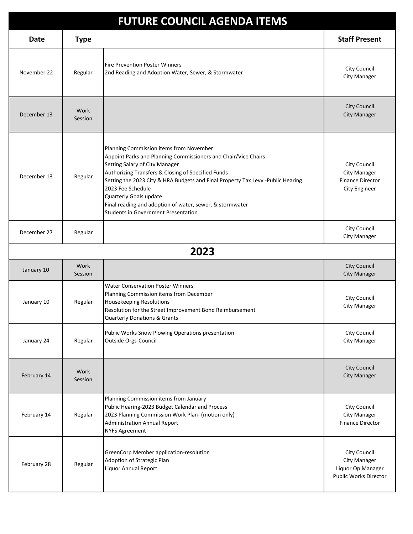| <b>FUTURE COUNCIL AGENDA ITEMS</b> |                 |                                                                                                                                                                                                                                                                                                                                                                                                                                               |                                                                                        |  |  |
|------------------------------------|-----------------|-----------------------------------------------------------------------------------------------------------------------------------------------------------------------------------------------------------------------------------------------------------------------------------------------------------------------------------------------------------------------------------------------------------------------------------------------|----------------------------------------------------------------------------------------|--|--|
| Date                               | <b>Type</b>     |                                                                                                                                                                                                                                                                                                                                                                                                                                               | <b>Staff Present</b>                                                                   |  |  |
| November 22                        | Regular         | Fire Prevention Poster Winners<br>2nd Reading and Adoption Water, Sewer, & Stormwater                                                                                                                                                                                                                                                                                                                                                         | City Council<br><b>City Manager</b>                                                    |  |  |
| December 13                        | Work<br>Session |                                                                                                                                                                                                                                                                                                                                                                                                                                               | <b>City Council</b><br><b>City Manager</b>                                             |  |  |
| December 13                        | Regular         | Planning Commission items from November<br>Appoint Parks and Planning Commissioners and Chair/Vice Chairs<br>Setting Salary of City Manager<br>Authorizing Transfers & Closing of Specified Funds<br>Setting the 2023 City & HRA Budgets and Final Property Tax Levy -Public Hearing<br>2023 Fee Schedule<br>Quarterly Goals update<br>Final reading and adoption of water, sewer, & stormwater<br><b>Students in Government Presentation</b> | City Council<br><b>City Manager</b><br><b>Finance Director</b><br><b>City Engineer</b> |  |  |
| December 27                        | Regular         |                                                                                                                                                                                                                                                                                                                                                                                                                                               | City Council<br><b>City Manager</b>                                                    |  |  |
|                                    |                 | 2023                                                                                                                                                                                                                                                                                                                                                                                                                                          |                                                                                        |  |  |
| January 10                         | Work<br>Session |                                                                                                                                                                                                                                                                                                                                                                                                                                               | <b>City Council</b><br><b>City Manager</b>                                             |  |  |
| January 10                         | Regular         | <b>Water Conservation Poster Winners</b><br>Planning Commission items from December<br><b>Housekeeping Resolutions</b><br>Resolution for the Street Improvement Bond Reimbursement<br><b>Quarterly Donations &amp; Grants</b>                                                                                                                                                                                                                 | City Council<br><b>City Manager</b>                                                    |  |  |
| January 24                         | Regular         | Public Works Snow Plowing Operations presentation<br>Outside Orgs-Council                                                                                                                                                                                                                                                                                                                                                                     | City Council<br>City Manager                                                           |  |  |
| February 14                        | Work<br>Session |                                                                                                                                                                                                                                                                                                                                                                                                                                               | <b>City Council</b><br><b>City Manager</b>                                             |  |  |
| February 14                        | Regular         | Planning Commission items from January<br>Public Hearing-2023 Budget Calendar and Process<br>2023 Planning Commission Work Plan- (motion only)<br><b>Administration Annual Report</b><br><b>NYFS Agreement</b>                                                                                                                                                                                                                                | City Council<br><b>City Manager</b><br><b>Finance Director</b>                         |  |  |
| February 28                        | Regular         | GreenCorp Member application-resolution<br>Adoption of Strategic Plan<br>Liquor Annual Report                                                                                                                                                                                                                                                                                                                                                 | City Council<br>City Manager<br>Liquor Op Manager<br><b>Public Works Director</b>      |  |  |